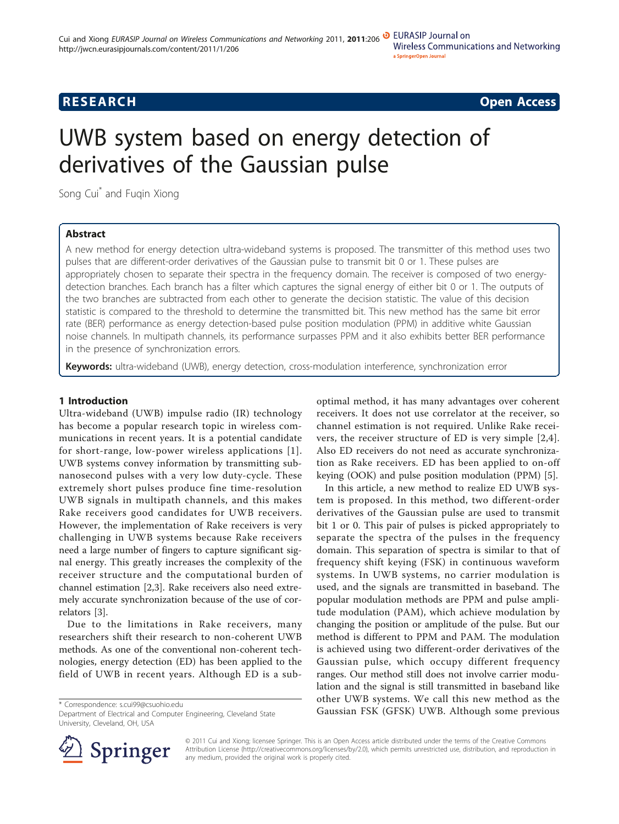# **RESEARCH CONSTRUCTION CONSTRUCTS**

# UWB system based on energy detection of derivatives of the Gaussian pulse

Song Cui\* and Fuqin Xiong

# Abstract

A new method for energy detection ultra-wideband systems is proposed. The transmitter of this method uses two pulses that are different-order derivatives of the Gaussian pulse to transmit bit 0 or 1. These pulses are appropriately chosen to separate their spectra in the frequency domain. The receiver is composed of two energydetection branches. Each branch has a filter which captures the signal energy of either bit 0 or 1. The outputs of the two branches are subtracted from each other to generate the decision statistic. The value of this decision statistic is compared to the threshold to determine the transmitted bit. This new method has the same bit error rate (BER) performance as energy detection-based pulse position modulation (PPM) in additive white Gaussian noise channels. In multipath channels, its performance surpasses PPM and it also exhibits better BER performance in the presence of synchronization errors.

Keywords: ultra-wideband (UWB), energy detection, cross-modulation interference, synchronization error

#### 1 Introduction

Ultra-wideband (UWB) impulse radio (IR) technology has become a popular research topic in wireless communications in recent years. It is a potential candidate for short-range, low-power wireless applications [[1\]](#page-17-0). UWB systems convey information by transmitting subnanosecond pulses with a very low duty-cycle. These extremely short pulses produce fine time-resolution UWB signals in multipath channels, and this makes Rake receivers good candidates for UWB receivers. However, the implementation of Rake receivers is very challenging in UWB systems because Rake receivers need a large number of fingers to capture significant signal energy. This greatly increases the complexity of the receiver structure and the computational burden of channel estimation [\[2,3](#page-17-0)]. Rake receivers also need extremely accurate synchronization because of the use of correlators [[3\]](#page-17-0).

Due to the limitations in Rake receivers, many researchers shift their research to non-coherent UWB methods. As one of the conventional non-coherent technologies, energy detection (ED) has been applied to the field of UWB in recent years. Although ED is a sub-

Department of Electrical and Computer Engineering, Cleveland State University, Cleveland, OH, USA

optimal method, it has many advantages over coherent receivers. It does not use correlator at the receiver, so channel estimation is not required. Unlike Rake receivers, the receiver structure of ED is very simple [\[2,4\]](#page-17-0). Also ED receivers do not need as accurate synchronization as Rake receivers. ED has been applied to on-off keying (OOK) and pulse position modulation (PPM) [[5\]](#page-17-0).

In this article, a new method to realize ED UWB system is proposed. In this method, two different-order derivatives of the Gaussian pulse are used to transmit bit 1 or 0. This pair of pulses is picked appropriately to separate the spectra of the pulses in the frequency domain. This separation of spectra is similar to that of frequency shift keying (FSK) in continuous waveform systems. In UWB systems, no carrier modulation is used, and the signals are transmitted in baseband. The popular modulation methods are PPM and pulse amplitude modulation (PAM), which achieve modulation by changing the position or amplitude of the pulse. But our method is different to PPM and PAM. The modulation is achieved using two different-order derivatives of the Gaussian pulse, which occupy different frequency ranges. Our method still does not involve carrier modulation and the signal is still transmitted in baseband like other UWB systems. We call this new method as the \* Correspondence: [s.cui99@csuohio.edu](mailto:s.cui99@csuohio.edu)<br>Department of Flectrical and Computer Engineering Cleveland State **Gaussian FSK (GFSK) UWB. Although some previous** 



© 2011 Cui and Xiong; licensee Springer. This is an Open Access article distributed under the terms of the Creative Commons Attribution License [\(http://creativecommons.org/licenses/by/2.0](http://creativecommons.org/licenses/by/2.0)), which permits unrestricted use, distribution, and reproduction in any medium, provided the original work is properly cited.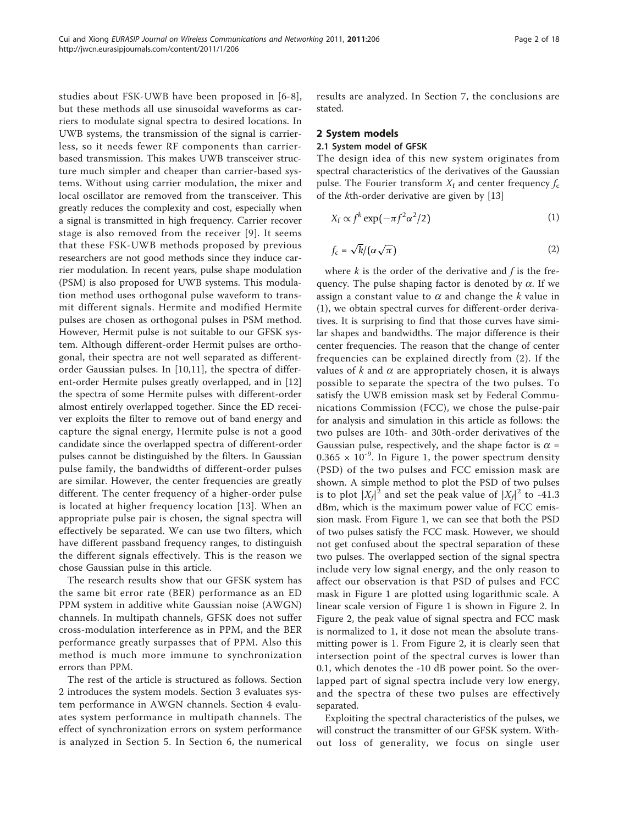studies about FSK-UWB have been proposed in [[6](#page-17-0)-[8](#page-17-0)], but these methods all use sinusoidal waveforms as carriers to modulate signal spectra to desired locations. In UWB systems, the transmission of the signal is carrierless, so it needs fewer RF components than carrierbased transmission. This makes UWB transceiver structure much simpler and cheaper than carrier-based systems. Without using carrier modulation, the mixer and local oscillator are removed from the transceiver. This greatly reduces the complexity and cost, especially when a signal is transmitted in high frequency. Carrier recover stage is also removed from the receiver [[9](#page-17-0)]. It seems that these FSK-UWB methods proposed by previous researchers are not good methods since they induce carrier modulation. In recent years, pulse shape modulation (PSM) is also proposed for UWB systems. This modulation method uses orthogonal pulse waveform to transmit different signals. Hermite and modified Hermite pulses are chosen as orthogonal pulses in PSM method. However, Hermit pulse is not suitable to our GFSK system. Although different-order Hermit pulses are orthogonal, their spectra are not well separated as differentorder Gaussian pulses. In [\[10](#page-17-0),[11\]](#page-17-0), the spectra of different-order Hermite pulses greatly overlapped, and in [[12](#page-17-0)] the spectra of some Hermite pulses with different-order almost entirely overlapped together. Since the ED receiver exploits the filter to remove out of band energy and capture the signal energy, Hermite pulse is not a good candidate since the overlapped spectra of different-order pulses cannot be distinguished by the filters. In Gaussian pulse family, the bandwidths of different-order pulses are similar. However, the center frequencies are greatly different. The center frequency of a higher-order pulse is located at higher frequency location [\[13\]](#page-17-0). When an appropriate pulse pair is chosen, the signal spectra will effectively be separated. We can use two filters, which have different passband frequency ranges, to distinguish the different signals effectively. This is the reason we chose Gaussian pulse in this article.

The research results show that our GFSK system has the same bit error rate (BER) performance as an ED PPM system in additive white Gaussian noise (AWGN) channels. In multipath channels, GFSK does not suffer cross-modulation interference as in PPM, and the BER performance greatly surpasses that of PPM. Also this method is much more immune to synchronization errors than PPM.

The rest of the article is structured as follows. Section 2 introduces the system models. Section 3 evaluates system performance in AWGN channels. Section 4 evaluates system performance in multipath channels. The effect of synchronization errors on system performance is analyzed in Section 5. In Section 6, the numerical results are analyzed. In Section 7, the conclusions are stated.

# 2 System models

## 2.1 System model of GFSK

The design idea of this new system originates from spectral characteristics of the derivatives of the Gaussian pulse. The Fourier transform  $X_f$  and center frequency  $f_c$ of the kth-order derivative are given by [\[13](#page-17-0)]

$$
X_f \propto f^k \exp(-\pi f^2 \alpha^2/2) \tag{1}
$$

$$
f_{\rm c} = \sqrt{k} / (\alpha \sqrt{\pi}) \tag{2}
$$

where  $k$  is the order of the derivative and  $f$  is the frequency. The pulse shaping factor is denoted by  $\alpha$ . If we assign a constant value to  $\alpha$  and change the k value in (1), we obtain spectral curves for different-order derivatives. It is surprising to find that those curves have similar shapes and bandwidths. The major difference is their center frequencies. The reason that the change of center frequencies can be explained directly from (2). If the values of k and  $\alpha$  are appropriately chosen, it is always possible to separate the spectra of the two pulses. To satisfy the UWB emission mask set by Federal Communications Commission (FCC), we chose the pulse-pair for analysis and simulation in this article as follows: the two pulses are 10th- and 30th-order derivatives of the Gaussian pulse, respectively, and the shape factor is  $\alpha$  =  $0.365 \times 10^{-9}$  $0.365 \times 10^{-9}$  $0.365 \times 10^{-9}$ . In Figure 1, the power spectrum density (PSD) of the two pulses and FCC emission mask are shown. A simple method to plot the PSD of two pulses is to plot  $|X_f|^2$  and set the peak value of  $|X_f|^2$  to -41.3<br>dBm which is the maximum power value of ECC emisdBm, which is the maximum power value of FCC emission mask. From Figure [1,](#page-2-0) we can see that both the PSD of two pulses satisfy the FCC mask. However, we should not get confused about the spectral separation of these two pulses. The overlapped section of the signal spectra include very low signal energy, and the only reason to affect our observation is that PSD of pulses and FCC mask in Figure [1](#page-2-0) are plotted using logarithmic scale. A linear scale version of Figure [1](#page-2-0) is shown in Figure [2](#page-3-0). In Figure [2,](#page-3-0) the peak value of signal spectra and FCC mask is normalized to 1, it dose not mean the absolute transmitting power is 1. From Figure [2,](#page-3-0) it is clearly seen that intersection point of the spectral curves is lower than 0.1, which denotes the -10 dB power point. So the overlapped part of signal spectra include very low energy, and the spectra of these two pulses are effectively separated.

Exploiting the spectral characteristics of the pulses, we will construct the transmitter of our GFSK system. Without loss of generality, we focus on single user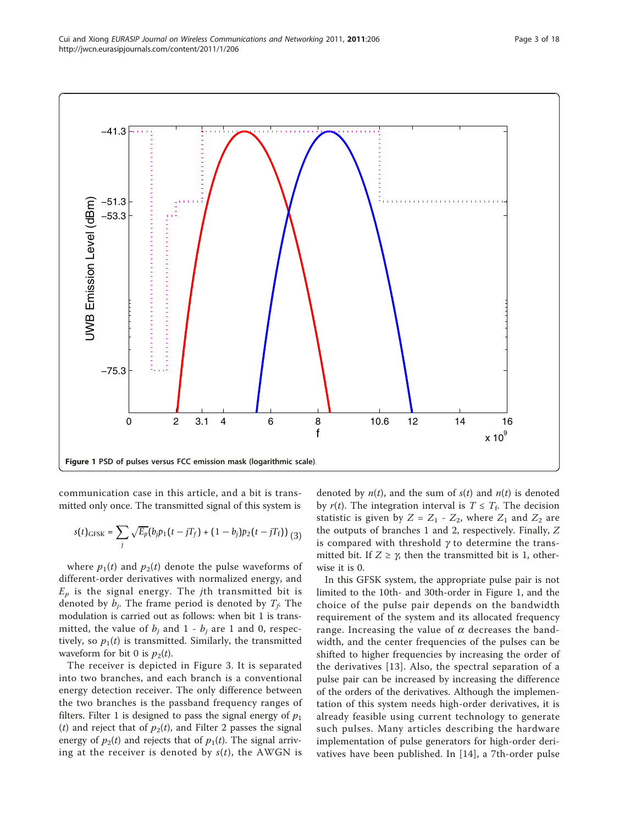<span id="page-2-0"></span>

communication case in this article, and a bit is transmitted only once. The transmitted signal of this system is

$$
s(t)_{\text{GFSK}} = \sum_{j} \sqrt{E_p}(b_j p_1(t - jT_f) + (1 - b_j) p_2(t - jT_f))
$$
 (3)

where  $p_1(t)$  and  $p_2(t)$  denote the pulse waveforms of different-order derivatives with normalized energy, and  $E_p$  is the signal energy. The *j*th transmitted bit is denoted by  $b_i$ . The frame period is denoted by  $T_f$ . The modulation is carried out as follows: when bit 1 is transmitted, the value of  $b_i$  and 1 -  $b_i$  are 1 and 0, respectively, so  $p_1(t)$  is transmitted. Similarly, the transmitted waveform for bit 0 is  $p_2(t)$ .

The receiver is depicted in Figure [3.](#page-3-0) It is separated into two branches, and each branch is a conventional energy detection receiver. The only difference between the two branches is the passband frequency ranges of filters. Filter 1 is designed to pass the signal energy of  $p_1$ (*t*) and reject that of  $p_2(t)$ , and Filter 2 passes the signal energy of  $p_2(t)$  and rejects that of  $p_1(t)$ . The signal arriving at the receiver is denoted by  $s(t)$ , the AWGN is

denoted by  $n(t)$ , and the sum of  $s(t)$  and  $n(t)$  is denoted by  $r(t)$ . The integration interval is  $T \leq T_f$ . The decision statistic is given by  $Z = Z_1 - Z_2$ , where  $Z_1$  and  $Z_2$  are the outputs of branches 1 and 2, respectively. Finally, Z is compared with threshold  $\gamma$  to determine the transmitted bit. If  $Z \ge \gamma$ , then the transmitted bit is 1, otherwise it is 0.

In this GFSK system, the appropriate pulse pair is not limited to the 10th- and 30th-order in Figure 1, and the choice of the pulse pair depends on the bandwidth requirement of the system and its allocated frequency range. Increasing the value of  $\alpha$  decreases the bandwidth, and the center frequencies of the pulses can be shifted to higher frequencies by increasing the order of the derivatives [[13](#page-17-0)]. Also, the spectral separation of a pulse pair can be increased by increasing the difference of the orders of the derivatives. Although the implementation of this system needs high-order derivatives, it is already feasible using current technology to generate such pulses. Many articles describing the hardware implementation of pulse generators for high-order derivatives have been published. In [\[14\]](#page-17-0), a 7th-order pulse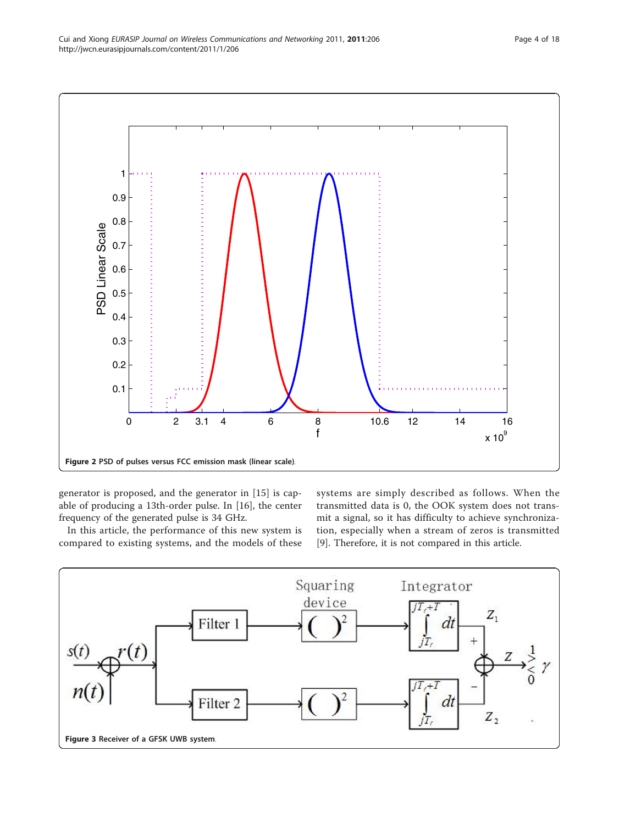<span id="page-3-0"></span>

generator is proposed, and the generator in [\[15](#page-17-0)] is capable of producing a 13th-order pulse. In [\[16](#page-17-0)], the center frequency of the generated pulse is 34 GHz.

In this article, the performance of this new system is compared to existing systems, and the models of these systems are simply described as follows. When the transmitted data is 0, the OOK system does not transmit a signal, so it has difficulty to achieve synchronization, especially when a stream of zeros is transmitted [[9\]](#page-17-0). Therefore, it is not compared in this article.

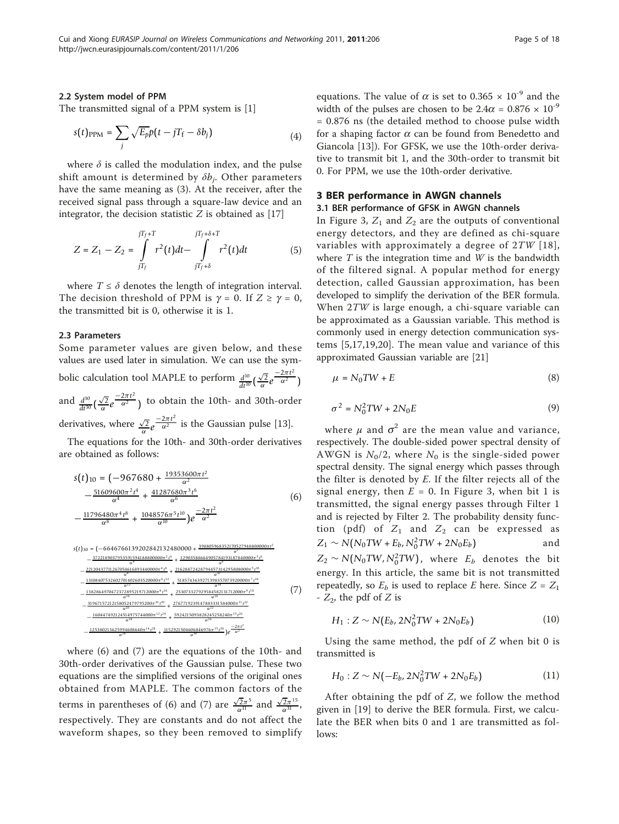#### 2.2 System model of PPM

The transmitted signal of a PPM system is [\[1](#page-17-0)]

$$
s(t)_{PPM} = \sum_{j} \sqrt{E_p} p(t - jT_f - \delta b_j)
$$
 (4)

where  $\delta$  is called the modulation index, and the pulse shift amount is determined by  $\delta b_i$ . Other parameters have the same meaning as (3). At the receiver, after the received signal pass through a square-law device and an integrator, the decision statistic  $Z$  is obtained as  $[17]$  $[17]$  $[17]$ 

$$
Z = Z_1 - Z_2 = \int_{jT_f}^{jT_f+T} r^2(t)dt - \int_{jT_f+\delta}^{jT_f+\delta+T} r^2(t)dt
$$
 (5)

where  $T \leq \delta$  denotes the length of integration interval. The decision threshold of PPM is  $\gamma = 0$ . If  $Z \ge \gamma = 0$ , the transmitted bit is 0, otherwise it is 1.

#### 2.3 Parameters

Some parameter values are given below, and these values are used later in simulation. We can use the symbolic calculation tool MAPLE to perform  $\frac{d^{10}}{dt^{10}}(\frac{\sqrt{2}}{\alpha}e^{\frac{-2\pi t^2}{\alpha^2}})$ and  $\frac{d^{30}}{dt^{30}}(\frac{\sqrt{2}}{\alpha}e^{\frac{-2\pi t^2}{\alpha^2}})$  to obtain the 10th- and 30th-order derivatives, where  $\frac{\sqrt{2}}{\alpha}e^{\frac{-2\pi t^2}{\alpha^2}}$  is the Gaussian pulse [\[13\]](#page-17-0).

The equations for the 10th- and 30th-order derivatives are obtained as follows:

$$
s(t)_{10} = \left(-967680 + \frac{19353600\pi t^2}{\alpha^2} -\frac{51609600\pi^2 t^4}{\alpha^4} + \frac{41287680\pi^3 t^6}{\alpha^6} -\frac{11796480\pi^4 t^8}{\alpha^8} + \frac{1048576\pi^5 t^{10}}{\alpha^{10}}\right)e^{\frac{-2\pi t^2}{\alpha^2}}
$$
(6)

$$
\begin{aligned} s(t)_{30} & = \left(-6646766139202842132480000 + \frac{398805968352170527948800000\pi^2 t^2}{\omega^4}\right.\\ & \left. - \frac{3722189037953591594188800000\pi^2 t^4}{\omega^4} + \frac{12903588664905784193187840000\pi^3 t^6}{\omega^6}\right.\\ & \left. - \frac{22120437711267058616893440000\pi^4 t^8}{\omega^2} + \frac{41628872428794457314295808000\pi^5 t^1}{\omega^4}\right.\\ & \left. - \frac{1308407532602701402603520000\pi^6 t^{12}}{\omega^4} + \frac{518574363927136837073920000\pi^7 t^{14}}{\omega^4}\right.\\ & \left. - \frac{1382864970472372895219712000\pi^8 t^{16}}{\omega^4} + \frac{255073327929584582131712000\pi^9 t^{18}}{\omega^4}\right.\\ & \left. - \frac{3196715721218052479795200\pi^m t^{20}}{\omega^{44}} + \frac{2767719239147883331584000\pi^{11} t^{22}}{\omega^6}\right.\\ & \left. - \frac{160447492124514975744000\pi^{12} t^{24}}{\omega^{24}} + \frac{5924215093828245258240\pi^{13} t^{26}}{\omega^6}\right) e^{\frac{-2\pi t^2}{\omega^6}}\\ & \left. - \frac{125380218625994608640\pi^{14} t^{28}}{\omega^{24}} + \frac{11529215946086849076\
$$

where (6) and (7) are the equations of the 10th- and 30th-order derivatives of the Gaussian pulse. These two equations are the simplified versions of the original ones obtained from MAPLE. The common factors of the terms in parentheses of (6) and (7) are  $\frac{\sqrt{2}\pi^5}{\alpha^{11}}$  and  $\frac{\sqrt{2}\pi^{15}}{\alpha^{31}}$ , respectively. They are constants and do not affect the waveform shapes, so they been removed to simplify

equations. The value of  $\alpha$  is set to 0.365  $\times$  10<sup>-9</sup> and the width of the pulses are chosen to be  $2.4\alpha = 0.876 \times 10^{-9}$ = 0.876 ns (the detailed method to choose pulse width for a shaping factor  $\alpha$  can be found from Benedetto and Giancola [\[13](#page-17-0)]). For GFSK, we use the 10th-order derivative to transmit bit 1, and the 30th-order to transmit bit 0. For PPM, we use the 10th-order derivative.

# 3 BER performance in AWGN channels

### 3.1 BER performance of GFSK in AWGN channels

In Figure [3](#page-3-0),  $Z_1$  and  $Z_2$  are the outputs of conventional energy detectors, and they are defined as chi-square variables with approximately a degree of 2TW [[18\]](#page-17-0), where  $T$  is the integration time and  $W$  is the bandwidth of the filtered signal. A popular method for energy detection, called Gaussian approximation, has been developed to simplify the derivation of the BER formula. When 2TW is large enough, a chi-square variable can be approximated as a Gaussian variable. This method is commonly used in energy detection communication systems [[5,17,19](#page-17-0),[20\]](#page-17-0). The mean value and variance of this approximated Gaussian variable are [\[21](#page-17-0)]

$$
\mu = N_0 T W + E \tag{8}
$$

$$
\sigma^2 = N_0^2 TW + 2N_0E \tag{9}
$$

where  $\mu$  and  $\sigma^2$  are the mean value and variance, respectively. The double-sided power spectral density of AWGN is  $N_0/2$ , where  $N_0$  is the single-sided power spectral density. The signal energy which passes through the filter is denoted by  $E$ . If the filter rejects all of the signal energy, then  $E = 0$ . In Figure [3,](#page-3-0) when bit 1 is transmitted, the signal energy passes through Filter 1 and is rejected by Filter 2. The probability density function (pdf) of  $Z_1$  and  $Z_2$  can be expressed as  $Z_1 \sim N(N_0TW + E_b, N_0^2TW + 2N_0E_b)$  and  $Z_2 \sim N(N_0TW, N_0^2TW)$ , where  $E_b$  denotes the bit energy. In this article, the same bit is not transmitted repeatedly, so  $E_b$  is used to replace E here. Since  $Z = Z_1$  $-Z_2$ , the pdf of Z is

$$
H_1: Z \sim N(E_b, 2N_0^2TW + 2N_0E_b)
$$
 (10)

Using the same method, the pdf of  $Z$  when bit 0 is transmitted is

$$
H_0: Z \sim N(-E_b, 2N_0^2TW + 2N_0E_b)
$$
 (11)

After obtaining the pdf of Z, we follow the method given in [\[19](#page-17-0)] to derive the BER formula. First, we calculate the BER when bits 0 and 1 are transmitted as follows: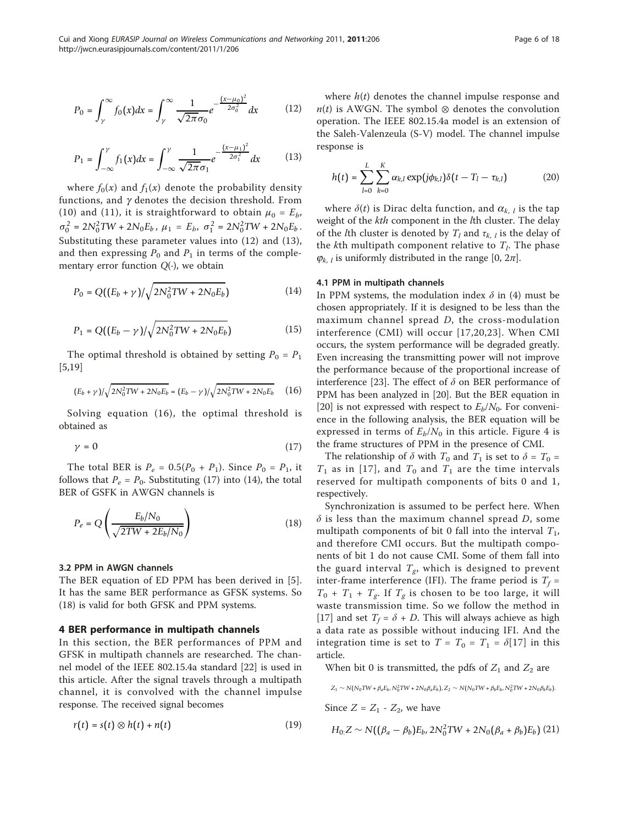$$
P_0 = \int_{\gamma}^{\infty} f_0(x) dx = \int_{\gamma}^{\infty} \frac{1}{\sqrt{2\pi}\sigma_0} e^{-\frac{(x-\mu_0)^2}{2\sigma_0^2}} dx \tag{12}
$$

$$
P_1 = \int_{-\infty}^{\gamma} f_1(x) dx = \int_{-\infty}^{\gamma} \frac{1}{\sqrt{2\pi}\sigma_1} e^{-\frac{(x-\mu_1)^2}{2\sigma_1^2}} dx \tag{13}
$$

where  $f_0(x)$  and  $f_1(x)$  denote the probability density functions, and  $\gamma$  denotes the decision threshold. From (10) and (11), it is straightforward to obtain  $\mu_0 = E_b$ ,  $\sigma_0^2 = 2N_0^2TW + 2N_0E_b$ ,  $\mu_1 = E_b$ ,  $\sigma_1^2 = 2N_0^2TW + 2N_0E_b$ .<br>Substituting these negative values into (12) and (12). Substituting these parameter values into (12) and (13), and then expressing  $P_0$  and  $P_1$  in terms of the complementary error function  $Q(.)$ , we obtain

$$
P_0 = Q((E_b + \gamma)/\sqrt{2N_0^2TW + 2N_0E_b})
$$
\n(14)

$$
P_1 = Q((E_b - \gamma)/\sqrt{2N_0^2TW + 2N_0E_b})
$$
\n(15)

The optimal threshold is obtained by setting  $P_0 = P_1$ [[5,19\]](#page-17-0)

$$
(E_b + \gamma)/\sqrt{2N_0^2TW + 2N_0E_b} = (E_b - \gamma)/\sqrt{2N_0^2TW + 2N_0E_b}
$$
 (16)

Solving equation (16), the optimal threshold is obtained as

$$
\gamma = 0 \tag{17}
$$

The total BER is  $P_e = 0.5(P_0 + P_1)$ . Since  $P_0 = P_1$ , it follows that  $P_e = P_0$ . Substituting (17) into (14), the total BER of GSFK in AWGN channels is

$$
P_e = Q\left(\frac{E_b/N_0}{\sqrt{2TW + 2E_b/N_0}}\right) \tag{18}
$$

#### 3.2 PPM in AWGN channels

The BER equation of ED PPM has been derived in [[5](#page-17-0)]. It has the same BER performance as GFSK systems. So (18) is valid for both GFSK and PPM systems.

#### 4 BER performance in multipath channels

In this section, the BER performances of PPM and GFSK in multipath channels are researched. The channel model of the IEEE 802.15.4a standard [[22\]](#page-17-0) is used in this article. After the signal travels through a multipath channel, it is convolved with the channel impulse response. The received signal becomes

$$
r(t) = s(t) \otimes h(t) + n(t) \tag{19}
$$

where  $h(t)$  denotes the channel impulse response and  $n(t)$  is AWGN. The symbol ⊗ denotes the convolution operation. The IEEE 802.15.4a model is an extension of the Saleh-Valenzeula (S-V) model. The channel impulse response is

$$
h(t) = \sum_{l=0}^{L} \sum_{k=0}^{K} \alpha_{k,l} \exp(j\phi_{k,l}) \delta(t - T_l - \tau_{k,l})
$$
 (20)

where  $\delta(t)$  is Dirac delta function, and  $\alpha_{k, l}$  is the tap weight of the kth component in the lth cluster. The delay of the *l*th cluster is denoted by  $T_l$  and  $\tau_{k, l}$  is the delay of the kth multipath component relative to  $T_l$ . The phase  $\varphi_{k, l}$  is uniformly distributed in the range [0, 2 $\pi$ ].

#### 4.1 PPM in multipath channels

In PPM systems, the modulation index  $\delta$  in (4) must be chosen appropriately. If it is designed to be less than the maximum channel spread D, the cross-modulation interference (CMI) will occur [[17](#page-17-0),[20](#page-17-0),[23](#page-17-0)]. When CMI occurs, the system performance will be degraded greatly. Even increasing the transmitting power will not improve the performance because of the proportional increase of interference [[23](#page-17-0)]. The effect of  $\delta$  on BER performance of PPM has been analyzed in [[20](#page-17-0)]. But the BER equation in [[20\]](#page-17-0) is not expressed with respect to  $E_b/N_0$ . For convenience in the following analysis, the BER equation will be expressed in terms of  $E_b/N_0$  in this article. Figure [4](#page-6-0) is the frame structures of PPM in the presence of CMI.

The relationship of  $\delta$  with  $T_0$  and  $T_1$  is set to  $\delta = T_0 =$  $T_1$  as in [[17\]](#page-17-0), and  $T_0$  and  $T_1$  are the time intervals reserved for multipath components of bits 0 and 1, respectively.

Synchronization is assumed to be perfect here. When  $\delta$  is less than the maximum channel spread D, some multipath components of bit 0 fall into the interval  $T_1$ , and therefore CMI occurs. But the multipath components of bit 1 do not cause CMI. Some of them fall into the guard interval  $T_{\varrho}$ , which is designed to prevent inter-frame interference (IFI). The frame period is  $T_f$  =  $T_0 + T_1 + T_g$ . If  $T_g$  is chosen to be too large, it will waste transmission time. So we follow the method in [[17\]](#page-17-0) and set  $T_f = \delta + D$ . This will always achieve as high a data rate as possible without inducing IFI. And the integration time is set to  $T = T_0 = T_1 = \delta[17]$  $T = T_0 = T_1 = \delta[17]$  in this article.

When bit 0 is transmitted, the pdfs of  $Z_1$  and  $Z_2$  are

 $Z_1 \sim N(N_0TW + \beta_aE_b, N_0^2TW + 2N_0\beta_aE_b), Z_2 \sim N(N_0TW + \beta_bE_b, N_0^2TW + 2N_0\beta_bE_b).$ 

Since  $Z = Z_1 - Z_2$ , we have

$$
H_0: Z \sim N((\beta_a - \beta_b)E_b, 2N_0^2TW + 2N_0(\beta_a + \beta_b)E_b) (21)
$$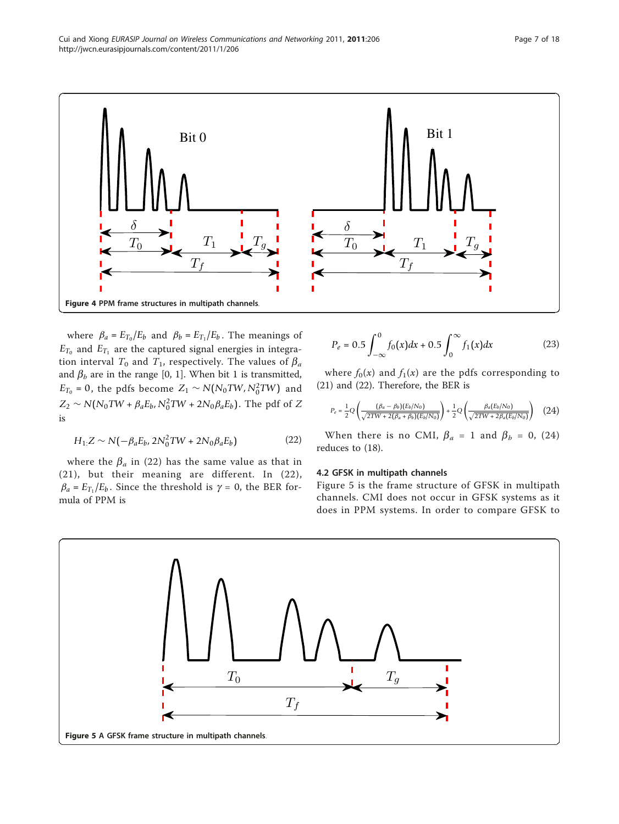<span id="page-6-0"></span>

where  $\beta_a = E_{T_0}/E_b$  and  $\beta_b = E_{T_1}/E_b$ . The meanings of  $E_{T_0}$  and  $E_{T_1}$  are the captured signal energies in integration interval  $T_0$  and  $T_1$ , respectively. The values of  $\beta_a$ and  $\beta_b$  are in the range [0, 1]. When bit 1 is transmitted, *E*<sub>*T*<sup>0</sup></sub> = 0, the pdfs become *Z*<sub>1</sub> ∼ *N*(*N*<sub>0</sub>*TW*, *N*<sub>0</sub><sup>2</sup>*TW*) and  $Z_2$  ∼ *N*(*N*<sub>0</sub>*TW* + *βaEb*, *N*<sub>0</sub><sup>2</sup>*TW* + 2*N*<sub>0</sub>*βaEb*). The pdf of *Z* is

$$
H_1 Z \sim N(-\beta_a E_b, 2N_0^2 TW + 2N_0 \beta_a E_b)
$$
 (22)

where the  $\beta_a$  in (22) has the same value as that in (21), but their meaning are different. In (22),  $\beta_a = E_T$ , /*E<sub>b</sub>*. Since the threshold is  $\gamma = 0$ , the BER formula of PPM is

$$
P_e = 0.5 \int_{-\infty}^{0} f_0(x) dx + 0.5 \int_{0}^{\infty} f_1(x) dx
$$
 (23)

where  $f_0(x)$  and  $f_1(x)$  are the pdfs corresponding to (21) and (22). Therefore, the BER is

$$
P_e = \frac{1}{2} Q \left( \frac{(\beta_a - \beta_b)(E_b/N_0)}{\sqrt{2TW + 2(\beta_a + \beta_b)(E_b/N_0)}} \right) + \frac{1}{2} Q \left( \frac{\beta_a(E_b/N_0)}{\sqrt{2TW + 2\beta_a(E_b/N_0)}} \right) \tag{24}
$$

When there is no CMI,  $\beta_a = 1$  and  $\beta_b = 0$ , (24) reduces to (18).

#### 4.2 GFSK in multipath channels

Figure 5 is the frame structure of GFSK in multipath channels. CMI does not occur in GFSK systems as it does in PPM systems. In order to compare GFSK to

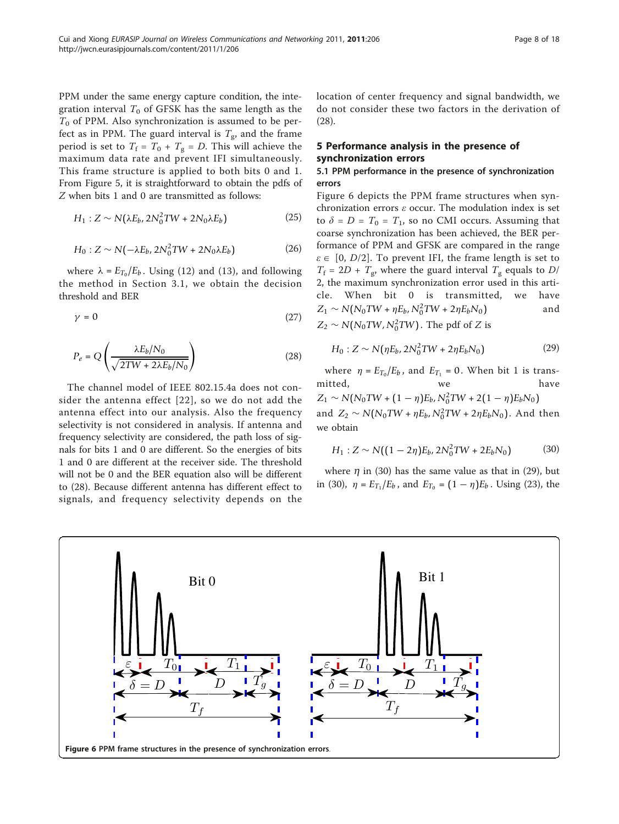PPM under the same energy capture condition, the integration interval  $T_0$  of GFSK has the same length as the  $T_0$  of PPM. Also synchronization is assumed to be perfect as in PPM. The guard interval is  $T_{\rm g}$ , and the frame period is set to  $T_f = T_0 + T_g = D$ . This will achieve the maximum data rate and prevent IFI simultaneously. This frame structure is applied to both bits 0 and 1. From Figure [5,](#page-6-0) it is straightforward to obtain the pdfs of Z when bits 1 and 0 are transmitted as follows:

$$
H_1: Z \sim N(\lambda E_b, 2N_0^2TW + 2N_0\lambda E_b)
$$
 (25)

$$
H_0: Z \sim N(-\lambda E_b, 2N_0^2 TW + 2N_0\lambda E_b)
$$
 (26)

where  $\lambda = E_{T_0}/E_b$ . Using (12) and (13), and following the method in Section 3.1, we obtain the decision threshold and BER

$$
\gamma = 0 \tag{27}
$$

$$
P_e = Q\left(\frac{\lambda E_b / N_0}{\sqrt{2TW + 2\lambda E_b / N_0}}\right)
$$
\n(28)

The channel model of IEEE 802.15.4a does not consider the antenna effect [[22](#page-17-0)], so we do not add the antenna effect into our analysis. Also the frequency selectivity is not considered in analysis. If antenna and frequency selectivity are considered, the path loss of signals for bits 1 and 0 are different. So the energies of bits 1 and 0 are different at the receiver side. The threshold will not be 0 and the BER equation also will be different to (28). Because different antenna has different effect to signals, and frequency selectivity depends on the location of center frequency and signal bandwidth, we do not consider these two factors in the derivation of (28).

# 5 Performance analysis in the presence of synchronization errors

# 5.1 PPM performance in the presence of synchronization errors

Figure 6 depicts the PPM frame structures when synchronization errors ε occur. The modulation index is set to  $\delta = D = T_0 = T_1$ , so no CMI occurs. Assuming that coarse synchronization has been achieved, the BER performance of PPM and GFSK are compared in the range  $\varepsilon \in [0, D/2]$ . To prevent IFI, the frame length is set to  $T_f = 2D + T_g$ , where the guard interval  $T_g$  equals to D/ 2, the maximum synchronization error used in this article. When bit 0 is transmitted, we have  $Z_1 \sim N(N_0TW + \eta E_b, N_0^2TW + 2\eta E_bN_0)$  and  $Z_2$  ∼ *N*(*N*<sub>0</sub>*TW*, *N*<sub>0</sub><sup>2</sup>*TW*). The pdf of *Z* is

$$
H_0: Z \sim N(\eta E_b, 2N_0^2 TW + 2\eta E_b N_0)
$$
 (29)

where  $\eta = E_{T_0}/E_b$ , and  $E_{T_1} = 0$ . When bit 1 is transmitted, we have  $Z_1 \sim N(N_0TW + (1 - \eta)E_b, N_0^2TW + 2(1 - \eta)E_bN_0)$ and  $Z_2 \sim N(N_0TW + \eta E_b, N_0^2TW + 2\eta E_bN_0)$ . And then we obtain

$$
H_1: Z \sim N((1-2\eta)E_b, 2N_0^2TW + 2E_bN_0)
$$
 (30)

where  $\eta$  in (30) has the same value as that in (29), but in (30),  $\eta = E_{T_1}/E_b$ , and  $E_{T_0} = (1 - \eta)E_b$ . Using (23), the

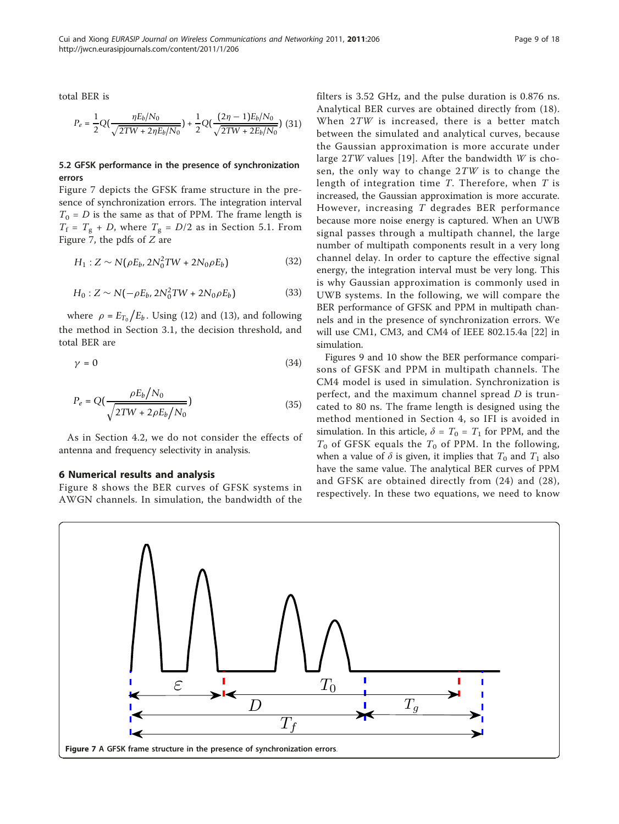total BER is

$$
P_e = \frac{1}{2} \mathcal{Q} \left( \frac{\eta E_b / N_0}{\sqrt{2TW + 2\eta E_b / N_0}} \right) + \frac{1}{2} \mathcal{Q} \left( \frac{(2\eta - 1) E_b / N_0}{\sqrt{2TW + 2E_b / N_0}} \right) (31)
$$

### 5.2 GFSK performance in the presence of synchronization errors

Figure 7 depicts the GFSK frame structure in the presence of synchronization errors. The integration interval  $T_0$  = D is the same as that of PPM. The frame length is  $T_f = T_g + D$ , where  $T_g = D/2$  as in Section 5.1. From Figure 7, the pdfs of Z are

$$
H_1: Z \sim N(\rho E_b, 2N_0^2 TW + 2N_0 \rho E_b)
$$
 (32)

$$
H_0: Z \sim N(-\rho E_b, 2N_0^2 TW + 2N_0 \rho E_b)
$$
\n(33)

where  $\rho = E_{T_0}/E_b$ . Using (12) and (13), and following the method in Section 3.1, the decision threshold, and total BER are

$$
\gamma = 0 \tag{34}
$$

$$
P_e = Q\left(\frac{\rho E_b / N_0}{\sqrt{2TW + 2\rho E_b / N_0}}\right)
$$
\n(35)

As in Section 4.2, we do not consider the effects of antenna and frequency selectivity in analysis.

#### 6 Numerical results and analysis

Figure [8](#page-9-0) shows the BER curves of GFSK systems in AWGN channels. In simulation, the bandwidth of the filters is 3.52 GHz, and the pulse duration is 0.876 ns. Analytical BER curves are obtained directly from (18). When 2TW is increased, there is a better match between the simulated and analytical curves, because the Gaussian approximation is more accurate under large  $2TW$  values [\[19](#page-17-0)]. After the bandwidth W is chosen, the only way to change 2TW is to change the length of integration time T. Therefore, when T is increased, the Gaussian approximation is more accurate. However, increasing T degrades BER performance because more noise energy is captured. When an UWB signal passes through a multipath channel, the large number of multipath components result in a very long channel delay. In order to capture the effective signal energy, the integration interval must be very long. This is why Gaussian approximation is commonly used in UWB systems. In the following, we will compare the BER performance of GFSK and PPM in multipath channels and in the presence of synchronization errors. We will use CM1, CM3, and CM4 of IEEE 802.15.4a [\[22](#page-17-0)] in simulation.

Figures [9](#page-9-0) and [10](#page-10-0) show the BER performance comparisons of GFSK and PPM in multipath channels. The CM4 model is used in simulation. Synchronization is perfect, and the maximum channel spread  $D$  is truncated to 80 ns. The frame length is designed using the method mentioned in Section 4, so IFI is avoided in simulation. In this article,  $\delta = T_0 = T_1$  for PPM, and the  $T_0$  of GFSK equals the  $T_0$  of PPM. In the following, when a value of  $\delta$  is given, it implies that  $T_0$  and  $T_1$  also have the same value. The analytical BER curves of PPM and GFSK are obtained directly from (24) and (28), respectively. In these two equations, we need to know

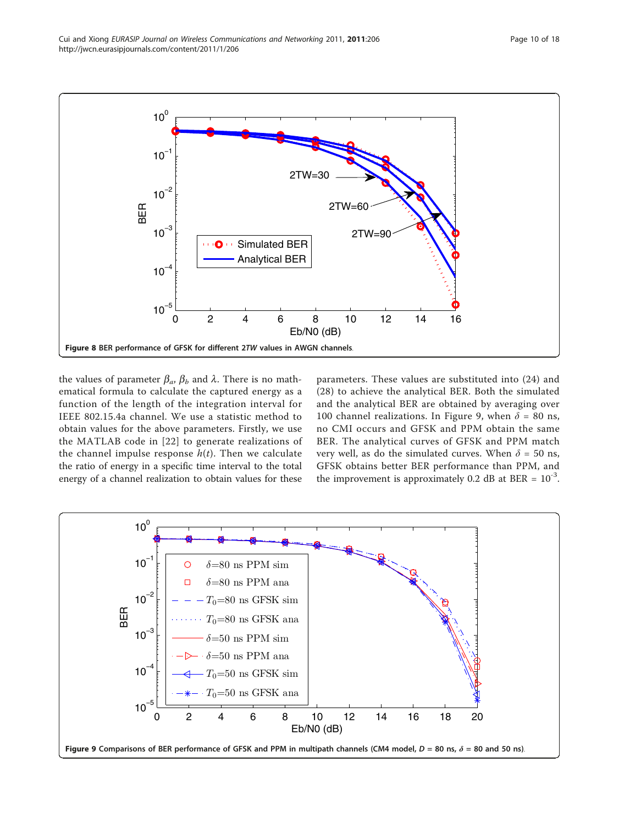<span id="page-9-0"></span>

the values of parameter  $\beta_a$ ,  $\beta_b$  and  $\lambda$ . There is no mathematical formula to calculate the captured energy as a function of the length of the integration interval for IEEE 802.15.4a channel. We use a statistic method to obtain values for the above parameters. Firstly, we use the MATLAB code in [[22\]](#page-17-0) to generate realizations of the channel impulse response  $h(t)$ . Then we calculate the ratio of energy in a specific time interval to the total energy of a channel realization to obtain values for these

parameters. These values are substituted into (24) and (28) to achieve the analytical BER. Both the simulated and the analytical BER are obtained by averaging over 100 channel realizations. In Figure 9, when  $\delta = 80$  ns, no CMI occurs and GFSK and PPM obtain the same BER. The analytical curves of GFSK and PPM match very well, as do the simulated curves. When  $\delta = 50$  ns, GFSK obtains better BER performance than PPM, and the improvement is approximately 0.2 dB at BER =  $10^{-3}$ .

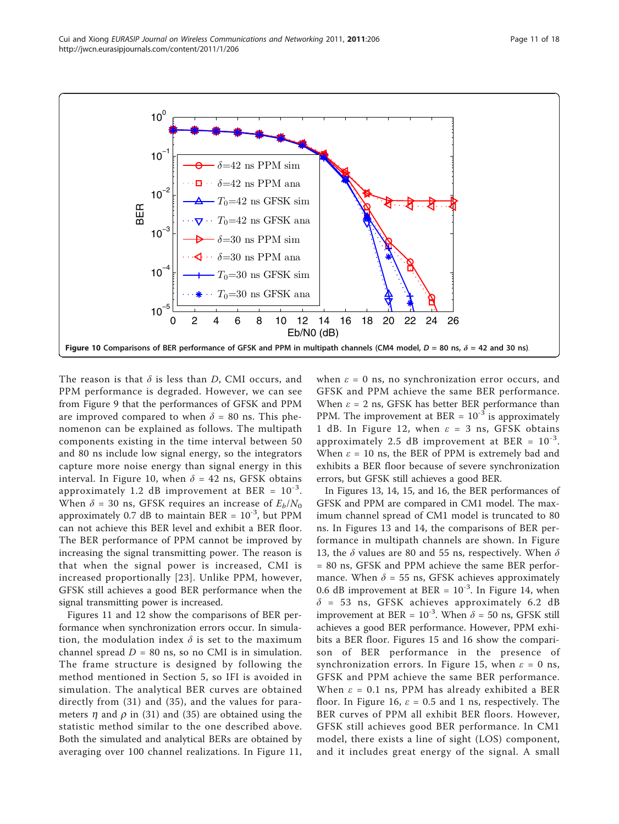<span id="page-10-0"></span>

The reason is that  $\delta$  is less than D, CMI occurs, and PPM performance is degraded. However, we can see from Figure [9](#page-9-0) that the performances of GFSK and PPM are improved compared to when  $\delta = 80$  ns. This phenomenon can be explained as follows. The multipath components existing in the time interval between 50 and 80 ns include low signal energy, so the integrators capture more noise energy than signal energy in this interval. In Figure 10, when  $\delta$  = 42 ns, GFSK obtains approximately 1.2 dB improvement at BER =  $10^{-3}$ . When  $\delta$  = 30 ns, GFSK requires an increase of  $E_b/N_0$ approximately 0.7 dB to maintain  $BER = 10^{-3}$ , but PPM can not achieve this BER level and exhibit a BER floor. The BER performance of PPM cannot be improved by increasing the signal transmitting power. The reason is that when the signal power is increased, CMI is increased proportionally [[23](#page-17-0)]. Unlike PPM, however, GFSK still achieves a good BER performance when the signal transmitting power is increased.

Figures [11](#page-11-0) and [12](#page-11-0) show the comparisons of BER performance when synchronization errors occur. In simulation, the modulation index  $\delta$  is set to the maximum channel spread  $D = 80$  ns, so no CMI is in simulation. The frame structure is designed by following the method mentioned in Section 5, so IFI is avoided in simulation. The analytical BER curves are obtained directly from (31) and (35), and the values for parameters  $\eta$  and  $\rho$  in (31) and (35) are obtained using the statistic method similar to the one described above. Both the simulated and analytical BERs are obtained by averaging over 100 channel realizations. In Figure [11](#page-11-0), when  $\varepsilon = 0$  ns, no synchronization error occurs, and GFSK and PPM achieve the same BER performance. When  $\varepsilon = 2$  ns, GFSK has better BER performance than PPM. The improvement at BER =  $10^{-3}$  is approximately 1 dB. In Figure [12](#page-11-0), when  $\varepsilon = 3$  ns, GFSK obtains approximately 2.5 dB improvement at BER =  $10^{-3}$ . When  $\varepsilon = 10$  ns, the BER of PPM is extremely bad and exhibits a BER floor because of severe synchronization errors, but GFSK still achieves a good BER.

In Figures [13, 14](#page-12-0), [15](#page-13-0), and [16](#page-13-0), the BER performances of GFSK and PPM are compared in CM1 model. The maximum channel spread of CM1 model is truncated to 80 ns. In Figures [13](#page-12-0) and [14](#page-12-0), the comparisons of BER performance in multipath channels are shown. In Figure [13,](#page-12-0) the  $\delta$  values are 80 and 55 ns, respectively. When  $\delta$ = 80 ns, GFSK and PPM achieve the same BER performance. When  $\delta$  = 55 ns, GFSK achieves approximately 0.6 dB improvement at BER =  $10^{-3}$ . In Figure [14,](#page-12-0) when  $\delta$  = 53 ns, GFSK achieves approximately 6.2 dB improvement at BER =  $10^{-3}$ . When  $\delta$  = 50 ns, GFSK still achieves a good BER performance. However, PPM exhibits a BER floor. Figures [15](#page-13-0) and [16](#page-13-0) show the comparison of BER performance in the presence of synchronization errors. In Figure [15,](#page-13-0) when  $\varepsilon = 0$  ns, GFSK and PPM achieve the same BER performance. When  $\varepsilon = 0.1$  ns, PPM has already exhibited a BER floor. In Figure [16](#page-13-0),  $\varepsilon = 0.5$  and 1 ns, respectively. The BER curves of PPM all exhibit BER floors. However, GFSK still achieves good BER performance. In CM1 model, there exists a line of sight (LOS) component, and it includes great energy of the signal. A small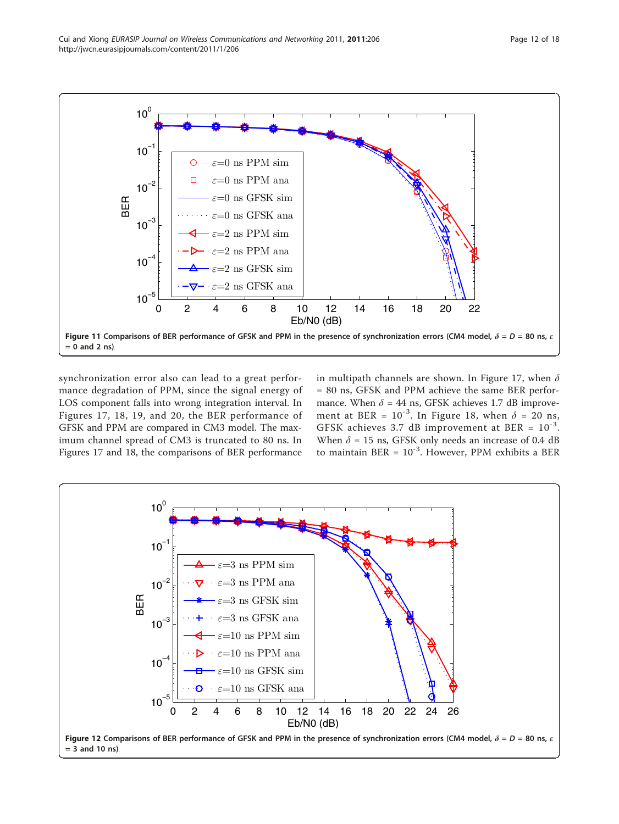<span id="page-11-0"></span>

synchronization error also can lead to a great performance degradation of PPM, since the signal energy of LOS component falls into wrong integration interval. In Figures [17, 18,](#page-14-0) [19,](#page-15-0) and [20](#page-15-0), the BER performance of GFSK and PPM are compared in CM3 model. The maximum channel spread of CM3 is truncated to 80 ns. In Figures [17](#page-14-0) and [18,](#page-14-0) the comparisons of BER performance

in multipath channels are shown. In Figure [17](#page-14-0), when  $\delta$ = 80 ns, GFSK and PPM achieve the same BER performance. When  $\delta = 44$  ns, GFSK achieves 1.7 dB improvement at BER =  $10^{-3}$ . In Figure [18](#page-14-0), when  $\delta$  = 20 ns, GFSK achieves 3.7 dB improvement at BER =  $10^{-3}$ . When  $\delta$  = 15 ns, GFSK only needs an increase of 0.4 dB to maintain BER =  $10^{-3}$ . However, PPM exhibits a BER

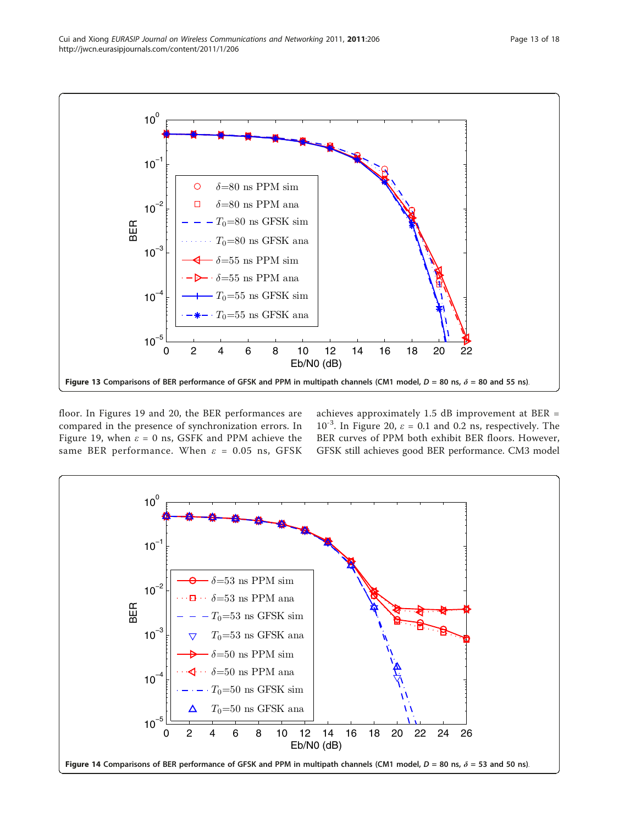<span id="page-12-0"></span>

floor. In Figures [19](#page-15-0) and [20](#page-15-0), the BER performances are compared in the presence of synchronization errors. In Figure [19](#page-15-0), when  $\varepsilon = 0$  ns, GSFK and PPM achieve the same BER performance. When  $\varepsilon = 0.05$  ns, GFSK achieves approximately 1.5 dB improvement at BER =  $10^{-3}$ . In Figure [20,](#page-15-0)  $\varepsilon = 0.1$  and 0.2 ns, respectively. The BER curves of PPM both exhibit BER floors. However, GFSK still achieves good BER performance. CM3 model

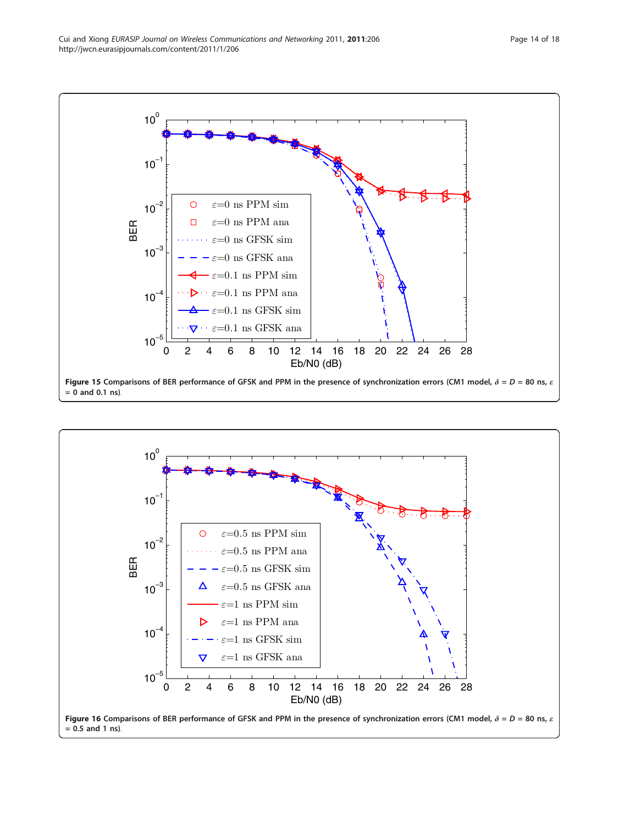<span id="page-13-0"></span>

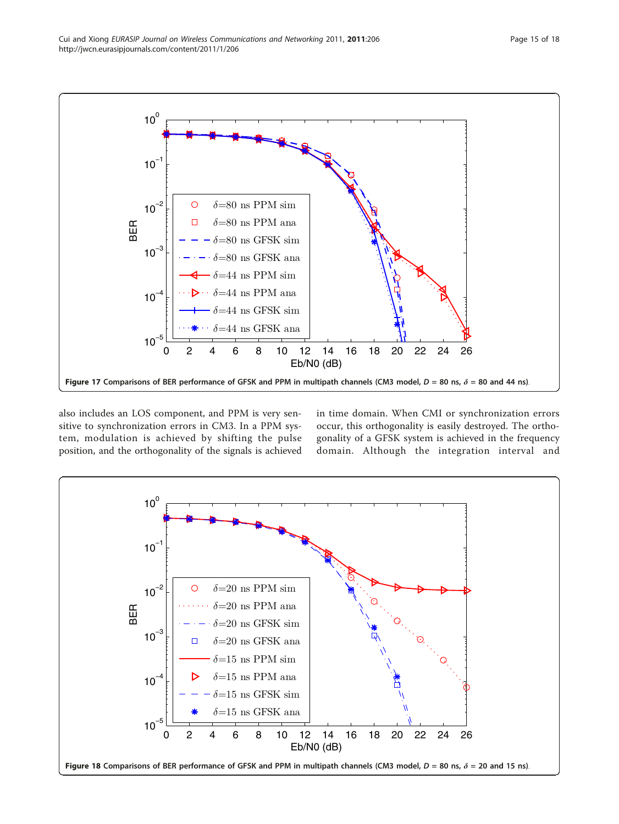<span id="page-14-0"></span>

also includes an LOS component, and PPM is very sensitive to synchronization errors in CM3. In a PPM system, modulation is achieved by shifting the pulse position, and the orthogonality of the signals is achieved in time domain. When CMI or synchronization errors occur, this orthogonality is easily destroyed. The orthogonality of a GFSK system is achieved in the frequency domain. Although the integration interval and

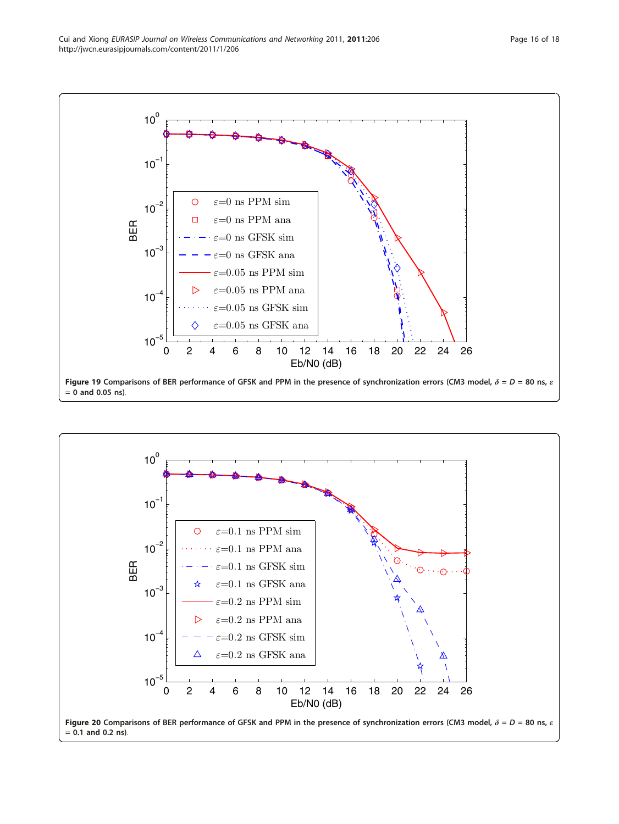<span id="page-15-0"></span>

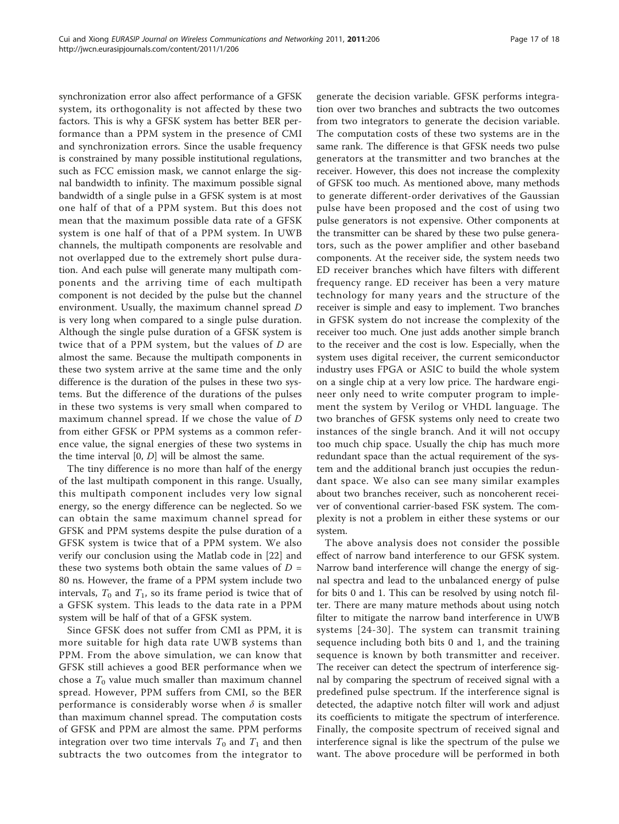synchronization error also affect performance of a GFSK system, its orthogonality is not affected by these two factors. This is why a GFSK system has better BER performance than a PPM system in the presence of CMI and synchronization errors. Since the usable frequency is constrained by many possible institutional regulations, such as FCC emission mask, we cannot enlarge the signal bandwidth to infinity. The maximum possible signal bandwidth of a single pulse in a GFSK system is at most one half of that of a PPM system. But this does not mean that the maximum possible data rate of a GFSK system is one half of that of a PPM system. In UWB channels, the multipath components are resolvable and not overlapped due to the extremely short pulse duration. And each pulse will generate many multipath components and the arriving time of each multipath component is not decided by the pulse but the channel environment. Usually, the maximum channel spread D is very long when compared to a single pulse duration. Although the single pulse duration of a GFSK system is twice that of a PPM system, but the values of  $D$  are almost the same. Because the multipath components in these two system arrive at the same time and the only difference is the duration of the pulses in these two systems. But the difference of the durations of the pulses in these two systems is very small when compared to maximum channel spread. If we chose the value of D from either GFSK or PPM systems as a common reference value, the signal energies of these two systems in the time interval  $[0, D]$  will be almost the same.

The tiny difference is no more than half of the energy of the last multipath component in this range. Usually, this multipath component includes very low signal energy, so the energy difference can be neglected. So we can obtain the same maximum channel spread for GFSK and PPM systems despite the pulse duration of a GFSK system is twice that of a PPM system. We also verify our conclusion using the Matlab code in [[22\]](#page-17-0) and these two systems both obtain the same values of  $D =$ 80 ns. However, the frame of a PPM system include two intervals,  $T_0$  and  $T_1$ , so its frame period is twice that of a GFSK system. This leads to the data rate in a PPM system will be half of that of a GFSK system.

Since GFSK does not suffer from CMI as PPM, it is more suitable for high data rate UWB systems than PPM. From the above simulation, we can know that GFSK still achieves a good BER performance when we chose a  $T_0$  value much smaller than maximum channel spread. However, PPM suffers from CMI, so the BER performance is considerably worse when  $\delta$  is smaller than maximum channel spread. The computation costs of GFSK and PPM are almost the same. PPM performs integration over two time intervals  $T_0$  and  $T_1$  and then subtracts the two outcomes from the integrator to

generate the decision variable. GFSK performs integration over two branches and subtracts the two outcomes from two integrators to generate the decision variable. The computation costs of these two systems are in the same rank. The difference is that GFSK needs two pulse generators at the transmitter and two branches at the receiver. However, this does not increase the complexity of GFSK too much. As mentioned above, many methods to generate different-order derivatives of the Gaussian pulse have been proposed and the cost of using two pulse generators is not expensive. Other components at the transmitter can be shared by these two pulse generators, such as the power amplifier and other baseband components. At the receiver side, the system needs two ED receiver branches which have filters with different frequency range. ED receiver has been a very mature technology for many years and the structure of the receiver is simple and easy to implement. Two branches in GFSK system do not increase the complexity of the receiver too much. One just adds another simple branch to the receiver and the cost is low. Especially, when the system uses digital receiver, the current semiconductor industry uses FPGA or ASIC to build the whole system on a single chip at a very low price. The hardware engineer only need to write computer program to implement the system by Verilog or VHDL language. The two branches of GFSK systems only need to create two instances of the single branch. And it will not occupy too much chip space. Usually the chip has much more redundant space than the actual requirement of the system and the additional branch just occupies the redundant space. We also can see many similar examples about two branches receiver, such as noncoherent receiver of conventional carrier-based FSK system. The complexity is not a problem in either these systems or our system.

The above analysis does not consider the possible effect of narrow band interference to our GFSK system. Narrow band interference will change the energy of signal spectra and lead to the unbalanced energy of pulse for bits 0 and 1. This can be resolved by using notch filter. There are many mature methods about using notch filter to mitigate the narrow band interference in UWB systems [[24](#page-17-0)-[30](#page-17-0)]. The system can transmit training sequence including both bits 0 and 1, and the training sequence is known by both transmitter and receiver. The receiver can detect the spectrum of interference signal by comparing the spectrum of received signal with a predefined pulse spectrum. If the interference signal is detected, the adaptive notch filter will work and adjust its coefficients to mitigate the spectrum of interference. Finally, the composite spectrum of received signal and interference signal is like the spectrum of the pulse we want. The above procedure will be performed in both